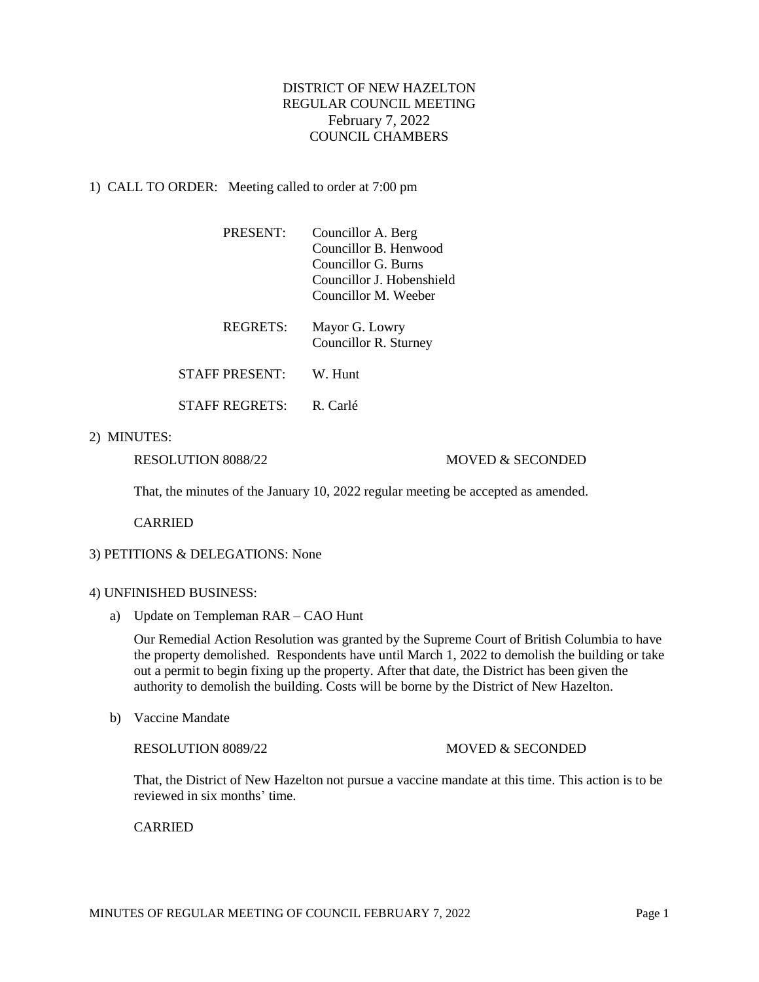# DISTRICT OF NEW HAZELTON REGULAR COUNCIL MEETING February 7, 2022 COUNCIL CHAMBERS

## 1) CALL TO ORDER: Meeting called to order at 7:00 pm

| <b>PRESENT:</b> | Councillor A. Berg<br>Councillor B. Henwood<br>Councillor G. Burns<br>Councillor J. Hobenshield<br>Councillor M. Weeber |
|-----------------|-------------------------------------------------------------------------------------------------------------------------|
| <b>REGRETS:</b> | Mayor G. Lowry<br>Councillor R. Sturney                                                                                 |
| STAFF PRESENT:  | W. Hunt                                                                                                                 |
| STAFF REGRETS:  | R Carlé                                                                                                                 |

### 2) MINUTES:

#### RESOLUTION 8088/22 MOVED & SECONDED

That, the minutes of the January 10, 2022 regular meeting be accepted as amended.

CARRIED

### 3) PETITIONS & DELEGATIONS: None

#### 4) UNFINISHED BUSINESS:

a) Update on Templeman RAR – CAO Hunt

Our Remedial Action Resolution was granted by the Supreme Court of British Columbia to have the property demolished. Respondents have until March 1, 2022 to demolish the building or take out a permit to begin fixing up the property. After that date, the District has been given the authority to demolish the building. Costs will be borne by the District of New Hazelton.

b) Vaccine Mandate

#### RESOLUTION 8089/22 MOVED & SECONDED

That, the District of New Hazelton not pursue a vaccine mandate at this time. This action is to be reviewed in six months' time.

### CARRIED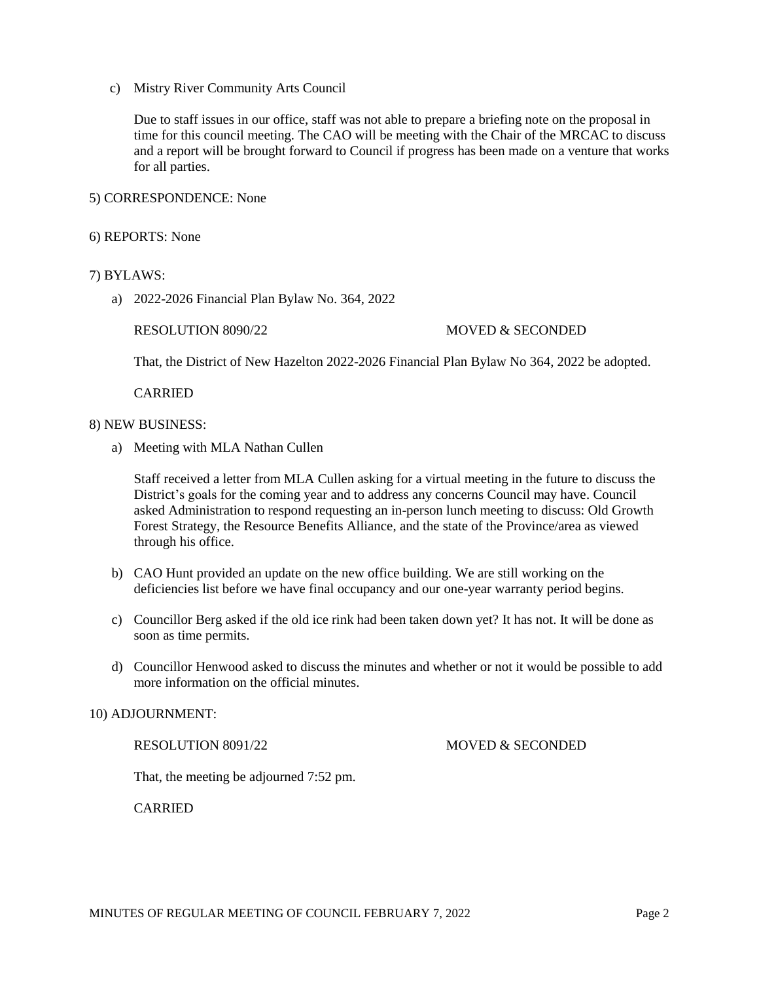c) Mistry River Community Arts Council

Due to staff issues in our office, staff was not able to prepare a briefing note on the proposal in time for this council meeting. The CAO will be meeting with the Chair of the MRCAC to discuss and a report will be brought forward to Council if progress has been made on a venture that works for all parties.

### 5) CORRESPONDENCE: None

#### 6) REPORTS: None

### 7) BYLAWS:

a) 2022-2026 Financial Plan Bylaw No. 364, 2022

### RESOLUTION 8090/22 MOVED & SECONDED

That, the District of New Hazelton 2022-2026 Financial Plan Bylaw No 364, 2022 be adopted.

CARRIED

#### 8) NEW BUSINESS:

a) Meeting with MLA Nathan Cullen

Staff received a letter from MLA Cullen asking for a virtual meeting in the future to discuss the District's goals for the coming year and to address any concerns Council may have. Council asked Administration to respond requesting an in-person lunch meeting to discuss: Old Growth Forest Strategy, the Resource Benefits Alliance, and the state of the Province/area as viewed through his office.

- b) CAO Hunt provided an update on the new office building. We are still working on the deficiencies list before we have final occupancy and our one-year warranty period begins.
- c) Councillor Berg asked if the old ice rink had been taken down yet? It has not. It will be done as soon as time permits.
- d) Councillor Henwood asked to discuss the minutes and whether or not it would be possible to add more information on the official minutes.

#### 10) ADJOURNMENT:

RESOLUTION 8091/22 MOVED & SECONDED

That, the meeting be adjourned 7:52 pm.

CARRIED